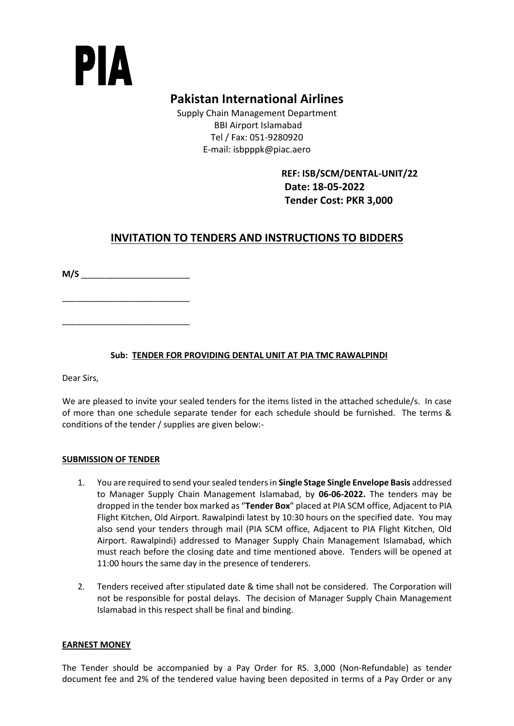# PIA

# **Pakistan International Airlines**

Supply Chain Management Department BBI Airport Islamabad Tel / Fax: 051-9280920 E-mail: isbpppk@piac.aero

> **REF: ISB/SCM/DENTAL-UNIT/22 Date: 18-05-2022 Tender Cost: PKR 3,000**

# **INVITATION TO TENDERS AND INSTRUCTIONS TO BIDDERS**

**M/S** \_\_\_\_\_\_\_\_\_\_\_\_\_\_\_\_\_\_\_\_\_\_\_

\_\_\_\_\_\_\_\_\_\_\_\_\_\_\_\_\_\_\_\_\_\_\_\_\_\_\_

\_\_\_\_\_\_\_\_\_\_\_\_\_\_\_\_\_\_\_\_\_\_\_\_\_\_\_

# **Sub: TENDER FOR PROVIDING DENTAL UNIT AT PIA TMC RAWALPINDI**

Dear Sirs,

We are pleased to invite your sealed tenders for the items listed in the attached schedule/s. In case of more than one schedule separate tender for each schedule should be furnished. The terms & conditions of the tender / supplies are given below:-

## **SUBMISSION OF TENDER**

- 1. You are required to send your sealed tenders in **Single Stage Single Envelope Basis** addressed to Manager Supply Chain Management Islamabad, by **06-06-2022.** The tenders may be dropped in the tender box marked as "**Tender Box**" placed at PIA SCM office, Adjacent to PIA Flight Kitchen, Old Airport. Rawalpindi latest by 10:30 hours on the specified date. You may also send your tenders through mail (PIA SCM office, Adjacent to PIA Flight Kitchen, Old Airport. Rawalpindi) addressed to Manager Supply Chain Management Islamabad, which must reach before the closing date and time mentioned above. Tenders will be opened at 11:00 hours the same day in the presence of tenderers.
- 2. Tenders received after stipulated date & time shall not be considered. The Corporation will not be responsible for postal delays. The decision of Manager Supply Chain Management Islamabad in this respect shall be final and binding.

## **EARNEST MONEY**

The Tender should be accompanied by a Pay Order for RS. 3,000 (Non-Refundable) as tender document fee and 2% of the tendered value having been deposited in terms of a Pay Order or any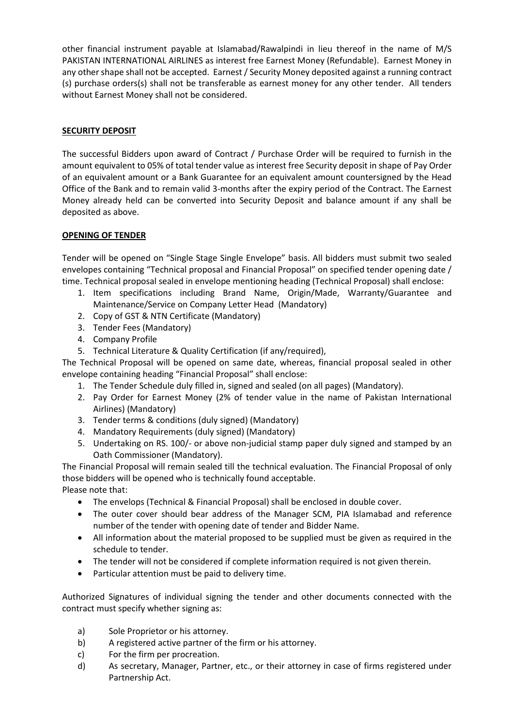other financial instrument payable at Islamabad/Rawalpindi in lieu thereof in the name of M/S PAKISTAN INTERNATIONAL AIRLINES as interest free Earnest Money (Refundable). Earnest Money in any other shape shall not be accepted. Earnest / Security Money deposited against a running contract (s) purchase orders(s) shall not be transferable as earnest money for any other tender. All tenders without Earnest Money shall not be considered.

## **SECURITY DEPOSIT**

The successful Bidders upon award of Contract / Purchase Order will be required to furnish in the amount equivalent to 05% of total tender value as interest free Security deposit in shape of Pay Order of an equivalent amount or a Bank Guarantee for an equivalent amount countersigned by the Head Office of the Bank and to remain valid 3-months after the expiry period of the Contract. The Earnest Money already held can be converted into Security Deposit and balance amount if any shall be deposited as above.

#### **OPENING OF TENDER**

Tender will be opened on "Single Stage Single Envelope" basis. All bidders must submit two sealed envelopes containing "Technical proposal and Financial Proposal" on specified tender opening date / time. Technical proposal sealed in envelope mentioning heading (Technical Proposal) shall enclose:

- 1. Item specifications including Brand Name, Origin/Made, Warranty/Guarantee and Maintenance/Service on Company Letter Head (Mandatory)
- 2. Copy of GST & NTN Certificate (Mandatory)
- 3. Tender Fees (Mandatory)
- 4. Company Profile
- 5. Technical Literature & Quality Certification (if any/required),

The Technical Proposal will be opened on same date, whereas, financial proposal sealed in other envelope containing heading "Financial Proposal" shall enclose:

- 1. The Tender Schedule duly filled in, signed and sealed (on all pages) (Mandatory).
- 2. Pay Order for Earnest Money (2% of tender value in the name of Pakistan International Airlines) (Mandatory)
- 3. Tender terms & conditions (duly signed) (Mandatory)
- 4. Mandatory Requirements (duly signed) (Mandatory)
- 5. Undertaking on RS. 100/- or above non-judicial stamp paper duly signed and stamped by an Oath Commissioner (Mandatory).

The Financial Proposal will remain sealed till the technical evaluation. The Financial Proposal of only those bidders will be opened who is technically found acceptable.

Please note that:

- The envelops (Technical & Financial Proposal) shall be enclosed in double cover.
- The outer cover should bear address of the Manager SCM, PIA Islamabad and reference number of the tender with opening date of tender and Bidder Name.
- All information about the material proposed to be supplied must be given as required in the schedule to tender.
- The tender will not be considered if complete information required is not given therein.
- Particular attention must be paid to delivery time.

Authorized Signatures of individual signing the tender and other documents connected with the contract must specify whether signing as:

- a) Sole Proprietor or his attorney.
- b) A registered active partner of the firm or his attorney.
- c) For the firm per procreation.
- d) As secretary, Manager, Partner, etc., or their attorney in case of firms registered under Partnership Act.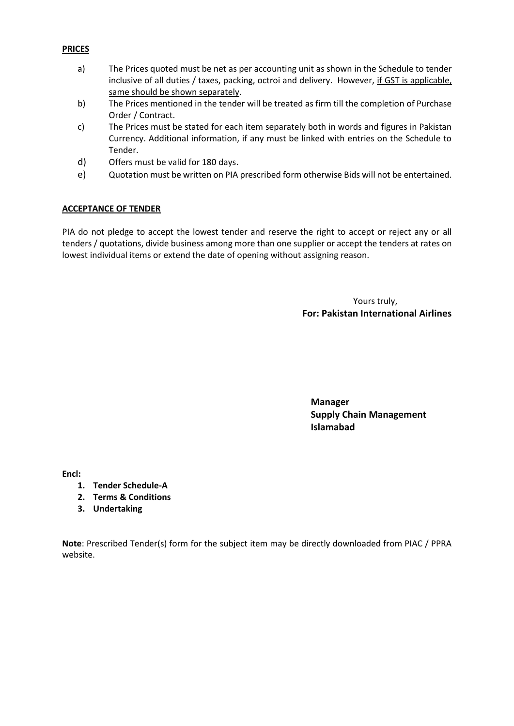#### **PRICES**

- a) The Prices quoted must be net as per accounting unit as shown in the Schedule to tender inclusive of all duties / taxes, packing, octroi and delivery. However, if GST is applicable, same should be shown separately.
- b) The Prices mentioned in the tender will be treated as firm till the completion of Purchase Order / Contract.
- c) The Prices must be stated for each item separately both in words and figures in Pakistan Currency. Additional information, if any must be linked with entries on the Schedule to Tender.
- d) Offers must be valid for 180 days.
- e) Quotation must be written on PIA prescribed form otherwise Bids will not be entertained.

#### **ACCEPTANCE OF TENDER**

PIA do not pledge to accept the lowest tender and reserve the right to accept or reject any or all tenders / quotations, divide business among more than one supplier or accept the tenders at rates on lowest individual items or extend the date of opening without assigning reason.

> Yours truly, **For: Pakistan International Airlines**

**Manager Supply Chain Management Islamabad**

**Encl:** 

- **1. Tender Schedule-A**
- **2. Terms & Conditions**
- **3. Undertaking**

**Note**: Prescribed Tender(s) form for the subject item may be directly downloaded from PIAC / PPRA website.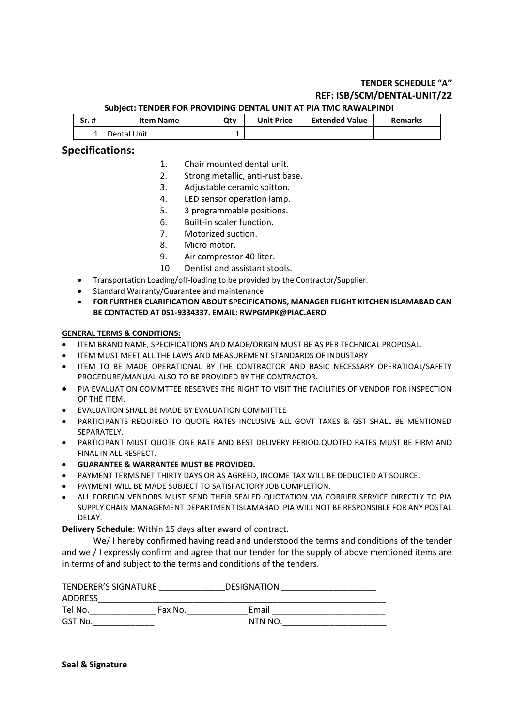#### **TENDER SCHEDULE "A" REF: ISB/SCM/DENTAL-UNIT/22 Subject: TENDER FOR PROVIDING DENTAL UNIT AT PIA TMC RAWALPINDI**

| $Sr.$ # | <b>Item Name</b> | Qtv | <b>Unit Price</b> | <b>Extended Value</b> | <b>Remarks</b> |  |  |
|---------|------------------|-----|-------------------|-----------------------|----------------|--|--|
|         | Dental Unit      |     |                   |                       |                |  |  |

# **Specifications:**

- 1. Chair mounted dental unit.
- 2. Strong metallic, anti-rust base.
- 3. Adjustable ceramic spitton.
- 4. LED sensor operation lamp.
- 5. 3 programmable positions.
- 6. Built-in scaler function.
- 7. Motorized suction.
- 8. Micro motor.
- 9. Air compressor 40 liter.
- 10. Dentist and assistant stools.
- Transportation Loading/off-loading to be provided by the Contractor/Supplier.
- Standard Warranty/Guarantee and maintenance
- **FOR FURTHER CLARIFICATION ABOUT SPECIFICATIONS, MANAGER FLIGHT KITCHEN ISLAMABAD CAN BE CONTACTED AT 051-9334337. EMAIL: RWPGMPK@PIAC.AERO**

#### **GENERAL TERMS & CONDITIONS:**

- ITEM BRAND NAME, SPECIFICATIONS AND MADE/ORIGIN MUST BE AS PER TECHNICAL PROPOSAL.
- ITEM MUST MEET ALL THE LAWS AND MEASUREMENT STANDARDS OF INDUSTARY
- ITEM TO BE MADE OPERATIONAL BY THE CONTRACTOR AND BASIC NECESSARY OPERATIOAL/SAFETY PROCEDURE/MANUAL ALSO TO BE PROVIDED BY THE CONTRACTOR.
- PIA EVALUATION COMMTTEE RESERVES THE RIGHT TO VISIT THE FACILITIES OF VENDOR FOR INSPECTION OF THE ITEM.
- EVALUATION SHALL BE MADE BY EVALUATION COMMITTEE
- PARTICIPANTS REQUIRED TO QUOTE RATES INCLUSIVE ALL GOVT TAXES & GST SHALL BE MENTIONED SEPARATELY.
- PARTICIPANT MUST QUOTE ONE RATE AND BEST DELIVERY PERIOD.QUOTED RATES MUST BE FIRM AND FINAL IN ALL RESPECT.
- **GUARANTEE & WARRANTEE MUST BE PROVIDED.**
- PAYMENT TERMS NET THIRTY DAYS OR AS AGREED, INCOME TAX WILL BE DEDUCTED AT SOURCE.
- PAYMENT WILL BE MADE SUBJECT TO SATISFACTORY JOB COMPLETION.
- ALL FOREIGN VENDORS MUST SEND THEIR SEALED QUOTATION VIA CORRIER SERVICE DIRECTLY TO PIA SUPPLY CHAIN MANAGEMENT DEPARTMENT ISLAMABAD. PIA WILL NOT BE RESPONSIBLE FOR ANY POSTAL DELAY.

**Delivery Schedule**: Within 15 days after award of contract.

We/ I hereby confirmed having read and understood the terms and conditions of the tender and we / I expressly confirm and agree that our tender for the supply of above mentioned items are in terms of and subject to the terms and conditions of the tenders.

| <b>TENDERER'S SIGNATURE</b> |         | <b>DESIGNATION</b> |  |
|-----------------------------|---------|--------------------|--|
| <b>ADDRESS</b>              |         |                    |  |
| Tel No.                     | Fax No. | Email              |  |
| GST No.                     |         | NTN NO.            |  |

**Seal & Signature**